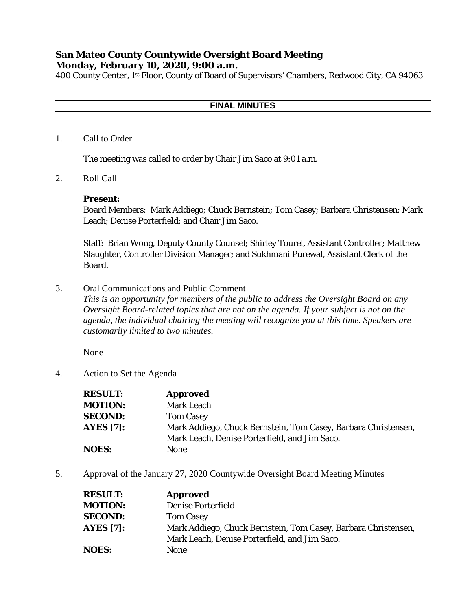# **San Mateo County Countywide Oversight Board Meeting Monday, February 10, 2020, 9:00 a.m.**

400 County Center, 1st Floor, County of Board of Supervisors' Chambers, Redwood City, CA 94063

### **FINAL MINUTES**

1. Call to Order

The meeting was called to order by Chair Jim Saco at 9:01 a.m.

2. Roll Call

### **Present:**

Board Members: Mark Addiego; Chuck Bernstein; Tom Casey; Barbara Christensen; Mark Leach; Denise Porterfield; and Chair Jim Saco.

Staff: Brian Wong, Deputy County Counsel; Shirley Tourel, Assistant Controller; Matthew Slaughter, Controller Division Manager; and Sukhmani Purewal, Assistant Clerk of the Board.

3. Oral Communications and Public Comment

*This is an opportunity for members of the public to address the Oversight Board on any Oversight Board-related topics that are not on the agenda. If your subject is not on the agenda, the individual chairing the meeting will recognize you at this time. Speakers are customarily limited to two minutes.*

None

4. Action to Set the Agenda

| <b>RESULT:</b>   | <b>Approved</b>                                                |
|------------------|----------------------------------------------------------------|
| <b>MOTION:</b>   | <b>Mark Leach</b>                                              |
| <b>SECOND:</b>   | <b>Tom Casey</b>                                               |
| <b>AYES</b> [7]: | Mark Addiego, Chuck Bernstein, Tom Casey, Barbara Christensen, |
|                  | Mark Leach, Denise Porterfield, and Jim Saco.                  |
| <b>NOES:</b>     | <b>None</b>                                                    |

5. Approval of the January 27, 2020 Countywide Oversight Board Meeting Minutes

| <b>RESULT:</b> | <b>Approved</b>                                                |
|----------------|----------------------------------------------------------------|
| <b>MOTION:</b> | <b>Denise Porterfield</b>                                      |
| <b>SECOND:</b> | <b>Tom Casey</b>                                               |
| AYES $[7]$ :   | Mark Addiego, Chuck Bernstein, Tom Casey, Barbara Christensen, |
|                | Mark Leach, Denise Porterfield, and Jim Saco.                  |
| <b>NOES:</b>   | <b>None</b>                                                    |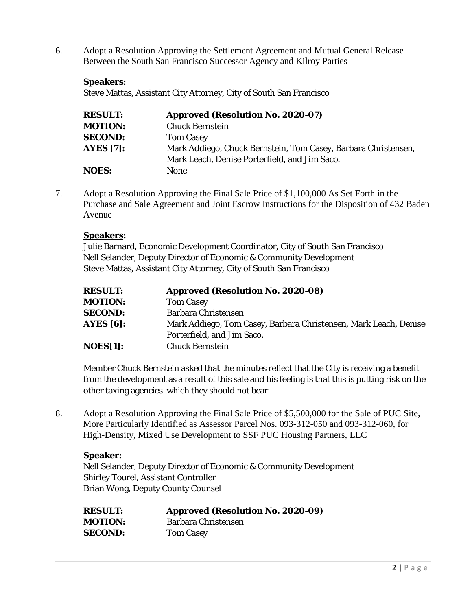6. Adopt a Resolution Approving the Settlement Agreement and Mutual General Release Between the South San Francisco Successor Agency and Kilroy Parties

## **Speakers:**

Steve Mattas, Assistant City Attorney, City of South San Francisco

| <b>RESULT:</b>   | <b>Approved (Resolution No. 2020-07)</b>                       |
|------------------|----------------------------------------------------------------|
| <b>MOTION:</b>   | <b>Chuck Bernstein</b>                                         |
| <b>SECOND:</b>   | <b>Tom Casey</b>                                               |
| <b>AYES</b> [7]: | Mark Addiego, Chuck Bernstein, Tom Casey, Barbara Christensen, |
|                  | Mark Leach, Denise Porterfield, and Jim Saco.                  |
| <b>NOES:</b>     | None                                                           |

7. Adopt a Resolution Approving the Final Sale Price of \$1,100,000 As Set Forth in the Purchase and Sale Agreement and Joint Escrow Instructions for the Disposition of 432 Baden Avenue

### **Speakers:**

Julie Barnard, Economic Development Coordinator, City of South San Francisco Nell Selander, Deputy Director of Economic & Community Development Steve Mattas, Assistant City Attorney, City of South San Francisco

| <b>RESULT:</b>   | <b>Approved (Resolution No. 2020-08)</b>                         |
|------------------|------------------------------------------------------------------|
| <b>MOTION:</b>   | <b>Tom Casey</b>                                                 |
| <b>SECOND:</b>   | <b>Barbara Christensen</b>                                       |
| <b>AYES</b> [6]: | Mark Addiego, Tom Casey, Barbara Christensen, Mark Leach, Denise |
|                  | Porterfield, and Jim Saco.                                       |
| NOES[1]:         | <b>Chuck Bernstein</b>                                           |

Member Chuck Bernstein asked that the minutes reflect that the City is receiving a benefit from the development as a result of this sale and his feeling is that this is putting risk on the other taxing agencies which they should not bear.

8. Adopt a Resolution Approving the Final Sale Price of \$5,500,000 for the Sale of PUC Site, More Particularly Identified as Assessor Parcel Nos. 093-312-050 and 093-312-060, for High-Density, Mixed Use Development to SSF PUC Housing Partners, LLC

### **Speaker:**

Nell Selander, Deputy Director of Economic & Community Development Shirley Tourel, Assistant Controller Brian Wong, Deputy County Counsel

| <b>RESULT:</b> | <b>Approved (Resolution No. 2020-09)</b> |
|----------------|------------------------------------------|
| <b>MOTION:</b> | Barbara Christensen                      |
| <b>SECOND:</b> | <b>Tom Casey</b>                         |